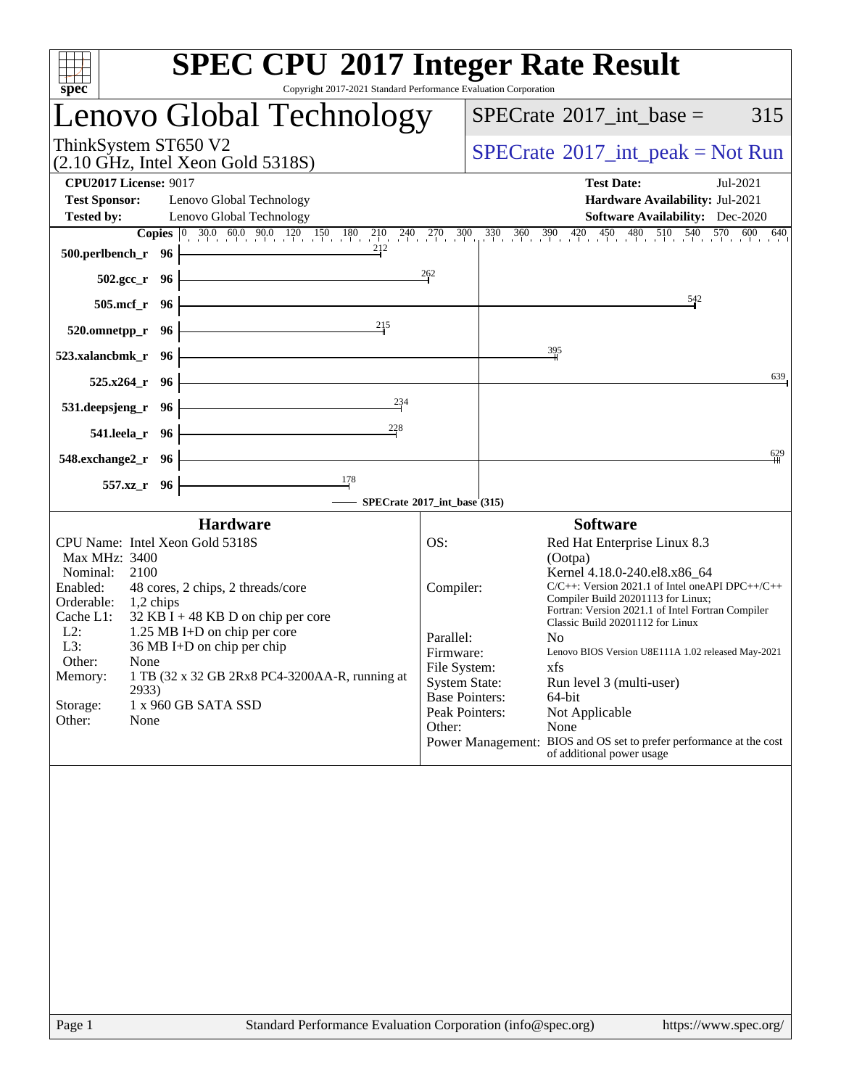| spec <sup>®</sup>                                                                                                                                                                                                                                                                                                                                                                                                                | <b>SPEC CPU®2017 Integer Rate Result</b><br>Copyright 2017-2021 Standard Performance Evaluation Corporation                                                                                                                                                                                                                                                                                                                                                                                                                                                                                                                                                 |
|----------------------------------------------------------------------------------------------------------------------------------------------------------------------------------------------------------------------------------------------------------------------------------------------------------------------------------------------------------------------------------------------------------------------------------|-------------------------------------------------------------------------------------------------------------------------------------------------------------------------------------------------------------------------------------------------------------------------------------------------------------------------------------------------------------------------------------------------------------------------------------------------------------------------------------------------------------------------------------------------------------------------------------------------------------------------------------------------------------|
| Lenovo Global Technology                                                                                                                                                                                                                                                                                                                                                                                                         | 315<br>$SPECrate^{\circledast}2017\_int\_base =$                                                                                                                                                                                                                                                                                                                                                                                                                                                                                                                                                                                                            |
| ThinkSystem ST650 V2<br>$(2.10 \text{ GHz}, \text{Intel Xeon Gold } 5318S)$                                                                                                                                                                                                                                                                                                                                                      | $SPECrate^{\circledcirc}2017\_int\_peak = Not Run$                                                                                                                                                                                                                                                                                                                                                                                                                                                                                                                                                                                                          |
| <b>CPU2017 License: 9017</b><br><b>Test Sponsor:</b><br>Lenovo Global Technology<br><b>Tested by:</b><br>Lenovo Global Technology                                                                                                                                                                                                                                                                                                | <b>Test Date:</b><br>Jul-2021<br>Hardware Availability: Jul-2021<br><b>Software Availability:</b> Dec-2020                                                                                                                                                                                                                                                                                                                                                                                                                                                                                                                                                  |
| 212<br>$500.$ perlbench_r 96                                                                                                                                                                                                                                                                                                                                                                                                     | <b>Copies</b> 0 30.0 60.0 90.0 120 150 180 210 240 270 300 330 360 390 420 420 450 480 510 540 570 600 640                                                                                                                                                                                                                                                                                                                                                                                                                                                                                                                                                  |
| $502.\text{sec}_r$ 96 $\vert$                                                                                                                                                                                                                                                                                                                                                                                                    | $\frac{262}{1}$                                                                                                                                                                                                                                                                                                                                                                                                                                                                                                                                                                                                                                             |
| <u> 1989 - Johann Stoff, Amerikaansk politiker (</u><br>$505.\text{mcf}_r$ 96                                                                                                                                                                                                                                                                                                                                                    | $\frac{542}{4}$                                                                                                                                                                                                                                                                                                                                                                                                                                                                                                                                                                                                                                             |
| 2 <sup>15</sup><br>$520.0$ mnetpp_r 96                                                                                                                                                                                                                                                                                                                                                                                           |                                                                                                                                                                                                                                                                                                                                                                                                                                                                                                                                                                                                                                                             |
| <u> 1989 - Johann Barn, mars et al. (</u><br>523.xalancbmk_r 96                                                                                                                                                                                                                                                                                                                                                                  | $\frac{395}{2}$                                                                                                                                                                                                                                                                                                                                                                                                                                                                                                                                                                                                                                             |
| $525.x264$ <sub>r</sub> 96                                                                                                                                                                                                                                                                                                                                                                                                       | 639                                                                                                                                                                                                                                                                                                                                                                                                                                                                                                                                                                                                                                                         |
| $\overline{\phantom{a}234}$<br>531.deepsjeng_r 96                                                                                                                                                                                                                                                                                                                                                                                |                                                                                                                                                                                                                                                                                                                                                                                                                                                                                                                                                                                                                                                             |
| $\frac{228}{1}$<br>541.leela_r 96                                                                                                                                                                                                                                                                                                                                                                                                |                                                                                                                                                                                                                                                                                                                                                                                                                                                                                                                                                                                                                                                             |
| $548$ .exchange $2\degree$ r 96                                                                                                                                                                                                                                                                                                                                                                                                  | 629                                                                                                                                                                                                                                                                                                                                                                                                                                                                                                                                                                                                                                                         |
| $\frac{178}{1}$<br>557.xz_r 96<br>SPECrate®2017_int_base'(315)                                                                                                                                                                                                                                                                                                                                                                   |                                                                                                                                                                                                                                                                                                                                                                                                                                                                                                                                                                                                                                                             |
| <b>Hardware</b>                                                                                                                                                                                                                                                                                                                                                                                                                  | <b>Software</b>                                                                                                                                                                                                                                                                                                                                                                                                                                                                                                                                                                                                                                             |
| CPU Name: Intel Xeon Gold 5318S<br>Max MHz: 3400<br>Nominal: 2100<br>Enabled:<br>48 cores, 2 chips, 2 threads/core<br>Orderable:<br>$1,2$ chips<br>Cache L1:<br>$32$ KB I + 48 KB D on chip per core<br>$L2$ :<br>1.25 MB I+D on chip per core<br>L3:<br>36 MB I+D on chip per chip<br>Other:<br>None<br>Memory:<br>1 TB (32 x 32 GB 2Rx8 PC4-3200AA-R, running at<br>2933)<br>1 x 960 GB SATA SSD<br>Storage:<br>Other:<br>None | OS:<br>Red Hat Enterprise Linux 8.3<br>(Ootpa)<br>Kernel 4.18.0-240.el8.x86_64<br>$C/C++$ : Version 2021.1 of Intel one API DPC++/C++<br>Compiler:<br>Compiler Build 20201113 for Linux;<br>Fortran: Version 2021.1 of Intel Fortran Compiler<br>Classic Build 20201112 for Linux<br>Parallel:<br>N <sub>0</sub><br>Lenovo BIOS Version U8E111A 1.02 released May-2021<br>Firmware:<br>File System:<br>xfs<br><b>System State:</b><br>Run level 3 (multi-user)<br><b>Base Pointers:</b><br>64-bit<br>Peak Pointers:<br>Not Applicable<br>None<br>Other:<br>Power Management: BIOS and OS set to prefer performance at the cost<br>of additional power usage |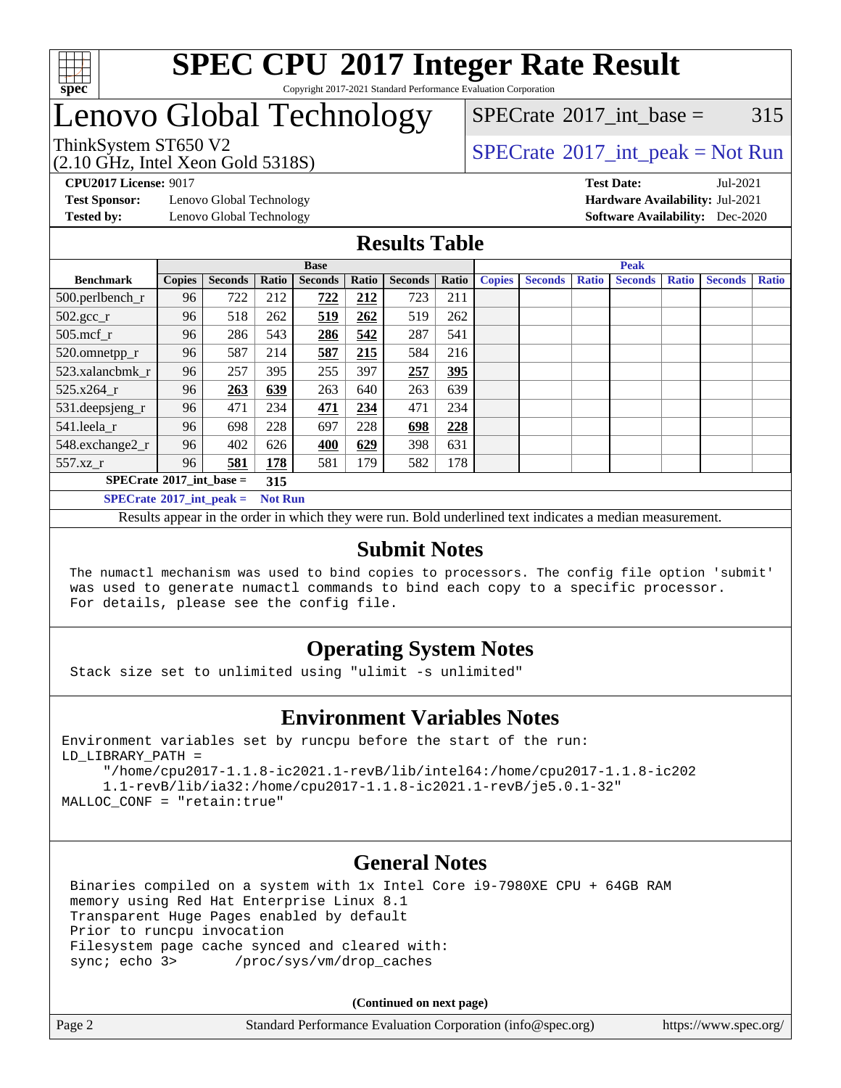

#### **[SPEC CPU](http://www.spec.org/auto/cpu2017/Docs/result-fields.html#SPECCPU2017IntegerRateResult)[2017 Integer Rate Result](http://www.spec.org/auto/cpu2017/Docs/result-fields.html#SPECCPU2017IntegerRateResult)** Copyright 2017-2021 Standard Performance Evaluation Corporation

## Lenovo Global Technology

[SPECrate](http://www.spec.org/auto/cpu2017/Docs/result-fields.html#SPECrate2017intbase)<sup>®</sup>2017 int base =  $315$ 

(2.10 GHz, Intel Xeon Gold 5318S)

ThinkSystem ST650 V2<br>  $\begin{array}{c} \text{SPECTR} \text{Data Total Year} \\ \text{SPECTR} \text{Data Total Search} \end{array}$ 

**[Test Sponsor:](http://www.spec.org/auto/cpu2017/Docs/result-fields.html#TestSponsor)** Lenovo Global Technology **[Hardware Availability:](http://www.spec.org/auto/cpu2017/Docs/result-fields.html#HardwareAvailability)** Jul-2021

**[CPU2017 License:](http://www.spec.org/auto/cpu2017/Docs/result-fields.html#CPU2017License)** 9017 **[Test Date:](http://www.spec.org/auto/cpu2017/Docs/result-fields.html#TestDate)** Jul-2021 **[Tested by:](http://www.spec.org/auto/cpu2017/Docs/result-fields.html#Testedby)** Lenovo Global Technology **[Software Availability:](http://www.spec.org/auto/cpu2017/Docs/result-fields.html#SoftwareAvailability)** Dec-2020

#### **[Results Table](http://www.spec.org/auto/cpu2017/Docs/result-fields.html#ResultsTable)**

| <b>Base</b>                         |               |                |                | <b>Peak</b>    |       |                |       |               |                |              |                |              |                |              |
|-------------------------------------|---------------|----------------|----------------|----------------|-------|----------------|-------|---------------|----------------|--------------|----------------|--------------|----------------|--------------|
| <b>Benchmark</b>                    | <b>Copies</b> | <b>Seconds</b> | Ratio          | <b>Seconds</b> | Ratio | <b>Seconds</b> | Ratio | <b>Copies</b> | <b>Seconds</b> | <b>Ratio</b> | <b>Seconds</b> | <b>Ratio</b> | <b>Seconds</b> | <b>Ratio</b> |
| 500.perlbench_r                     | 96            | 722            | 212            | 722            | 212   | 723            | 211   |               |                |              |                |              |                |              |
| $502.\text{gcc}$ _r                 | 96            | 518            | 262            | 519            | 262   | 519            | 262   |               |                |              |                |              |                |              |
| $505$ .mcf r                        | 96            | 286            | 543            | 286            | 542   | 287            | 541   |               |                |              |                |              |                |              |
| 520.omnetpp_r                       | 96            | 587            | 214            | 587            | 215   | 584            | 216   |               |                |              |                |              |                |              |
| 523.xalancbmk r                     | 96            | 257            | 395            | 255            | 397   | 257            | 395   |               |                |              |                |              |                |              |
| 525.x264 r                          | 96            | 263            | 639            | 263            | 640   | 263            | 639   |               |                |              |                |              |                |              |
| 531.deepsjeng_r                     | 96            | 471            | 234            | 471            | 234   | 471            | 234   |               |                |              |                |              |                |              |
| 541.leela r                         | 96            | 698            | 228            | 697            | 228   | 698            | 228   |               |                |              |                |              |                |              |
| 548.exchange2_r                     | 96            | 402            | 626            | 400            | 629   | 398            | 631   |               |                |              |                |              |                |              |
| 557.xz r                            | 96            | 581            | 178            | 581            | 179   | 582            | 178   |               |                |              |                |              |                |              |
| $SPECrate^{\circ}2017\_int\_base =$ |               |                | 315            |                |       |                |       |               |                |              |                |              |                |              |
| $SPECrate^{\circ}2017$ int peak =   |               |                | <b>Not Run</b> |                |       |                |       |               |                |              |                |              |                |              |

Results appear in the [order in which they were run](http://www.spec.org/auto/cpu2017/Docs/result-fields.html#RunOrder). Bold underlined text [indicates a median measurement](http://www.spec.org/auto/cpu2017/Docs/result-fields.html#Median).

#### **[Submit Notes](http://www.spec.org/auto/cpu2017/Docs/result-fields.html#SubmitNotes)**

 The numactl mechanism was used to bind copies to processors. The config file option 'submit' was used to generate numactl commands to bind each copy to a specific processor. For details, please see the config file.

### **[Operating System Notes](http://www.spec.org/auto/cpu2017/Docs/result-fields.html#OperatingSystemNotes)**

Stack size set to unlimited using "ulimit -s unlimited"

#### **[Environment Variables Notes](http://www.spec.org/auto/cpu2017/Docs/result-fields.html#EnvironmentVariablesNotes)**

Environment variables set by runcpu before the start of the run: LD\_LIBRARY\_PATH =

 "/home/cpu2017-1.1.8-ic2021.1-revB/lib/intel64:/home/cpu2017-1.1.8-ic202 1.1-revB/lib/ia32:/home/cpu2017-1.1.8-ic2021.1-revB/je5.0.1-32" MALLOC\_CONF = "retain:true"

#### **[General Notes](http://www.spec.org/auto/cpu2017/Docs/result-fields.html#GeneralNotes)**

 Binaries compiled on a system with 1x Intel Core i9-7980XE CPU + 64GB RAM memory using Red Hat Enterprise Linux 8.1 Transparent Huge Pages enabled by default Prior to runcpu invocation Filesystem page cache synced and cleared with: sync; echo 3> /proc/sys/vm/drop\_caches

**(Continued on next page)**

| Page 2 | Standard Performance Evaluation Corporation (info@spec.org) | https://www.spec.org/ |
|--------|-------------------------------------------------------------|-----------------------|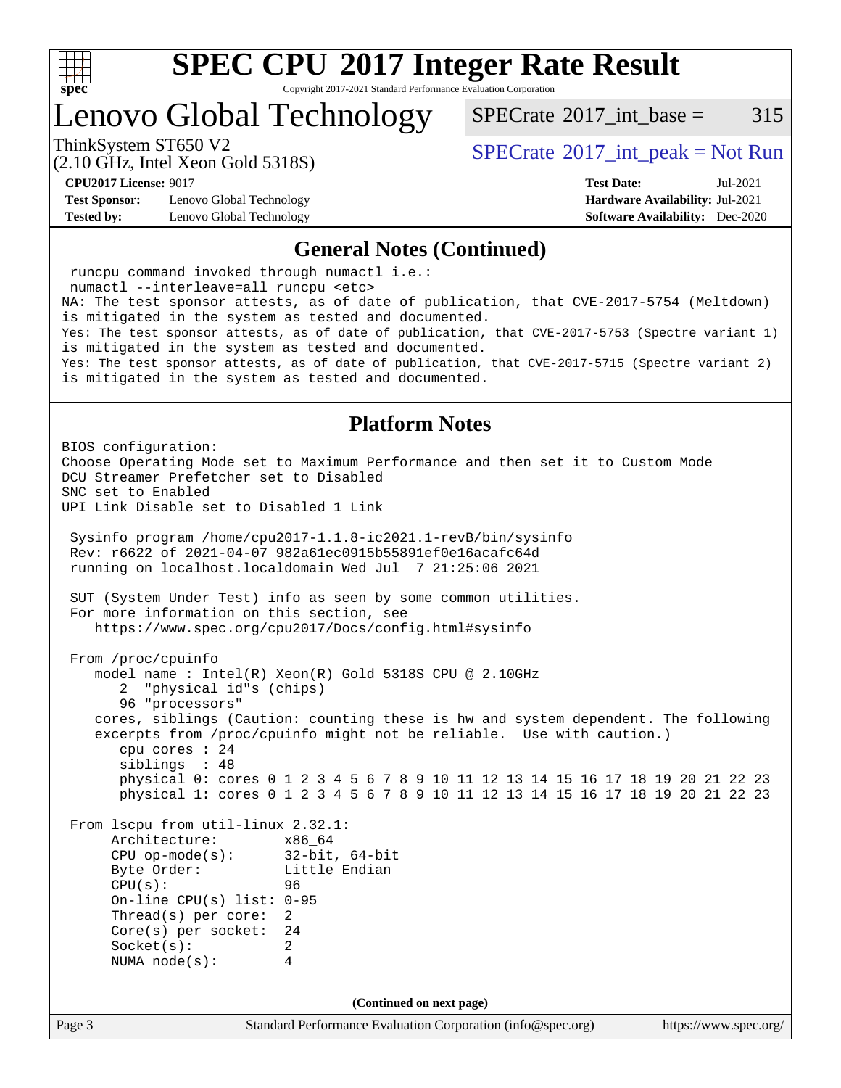

Copyright 2017-2021 Standard Performance Evaluation Corporation

Lenovo Global Technology

[SPECrate](http://www.spec.org/auto/cpu2017/Docs/result-fields.html#SPECrate2017intbase)<sup>®</sup>2017 int base =  $315$ 

(2.10 GHz, Intel Xeon Gold 5318S)

ThinkSystem ST650 V2<br>  $\begin{array}{c} \text{SPECTB} \\ \text{SPECTB} \\ \text{SOLUTION} \end{array}$  [SPECrate](http://www.spec.org/auto/cpu2017/Docs/result-fields.html#SPECrate2017intpeak)®[2017\\_int\\_peak = N](http://www.spec.org/auto/cpu2017/Docs/result-fields.html#SPECrate2017intpeak)ot Run

**[Test Sponsor:](http://www.spec.org/auto/cpu2017/Docs/result-fields.html#TestSponsor)** Lenovo Global Technology **[Hardware Availability:](http://www.spec.org/auto/cpu2017/Docs/result-fields.html#HardwareAvailability)** Jul-2021 **[Tested by:](http://www.spec.org/auto/cpu2017/Docs/result-fields.html#Testedby)** Lenovo Global Technology **[Software Availability:](http://www.spec.org/auto/cpu2017/Docs/result-fields.html#SoftwareAvailability)** Dec-2020

**[CPU2017 License:](http://www.spec.org/auto/cpu2017/Docs/result-fields.html#CPU2017License)** 9017 **[Test Date:](http://www.spec.org/auto/cpu2017/Docs/result-fields.html#TestDate)** Jul-2021

#### **[General Notes \(Continued\)](http://www.spec.org/auto/cpu2017/Docs/result-fields.html#GeneralNotes)**

 runcpu command invoked through numactl i.e.: numactl --interleave=all runcpu <etc> NA: The test sponsor attests, as of date of publication, that CVE-2017-5754 (Meltdown) is mitigated in the system as tested and documented. Yes: The test sponsor attests, as of date of publication, that CVE-2017-5753 (Spectre variant 1) is mitigated in the system as tested and documented. Yes: The test sponsor attests, as of date of publication, that CVE-2017-5715 (Spectre variant 2) is mitigated in the system as tested and documented. **[Platform Notes](http://www.spec.org/auto/cpu2017/Docs/result-fields.html#PlatformNotes)** BIOS configuration: Choose Operating Mode set to Maximum Performance and then set it to Custom Mode DCU Streamer Prefetcher set to Disabled SNC set to Enabled UPI Link Disable set to Disabled 1 Link Sysinfo program /home/cpu2017-1.1.8-ic2021.1-revB/bin/sysinfo Rev: r6622 of 2021-04-07 982a61ec0915b55891ef0e16acafc64d running on localhost.localdomain Wed Jul 7 21:25:06 2021 SUT (System Under Test) info as seen by some common utilities. For more information on this section, see <https://www.spec.org/cpu2017/Docs/config.html#sysinfo> From /proc/cpuinfo model name : Intel(R) Xeon(R) Gold 5318S CPU @ 2.10GHz 2 "physical id"s (chips) 96 "processors" cores, siblings (Caution: counting these is hw and system dependent. The following

 excerpts from /proc/cpuinfo might not be reliable. Use with caution.) cpu cores : 24 siblings : 48 physical 0: cores 0 1 2 3 4 5 6 7 8 9 10 11 12 13 14 15 16 17 18 19 20 21 22 23 physical 1: cores 0 1 2 3 4 5 6 7 8 9 10 11 12 13 14 15 16 17 18 19 20 21 22 23

 From lscpu from util-linux 2.32.1: Architecture: x86\_64 CPU op-mode(s): 32-bit, 64-bit Little Endian CPU(s): 96 On-line CPU(s) list: 0-95 Thread(s) per core: 2 Core(s) per socket: 24 Socket(s): 2 NUMA node(s): 4

**(Continued on next page)**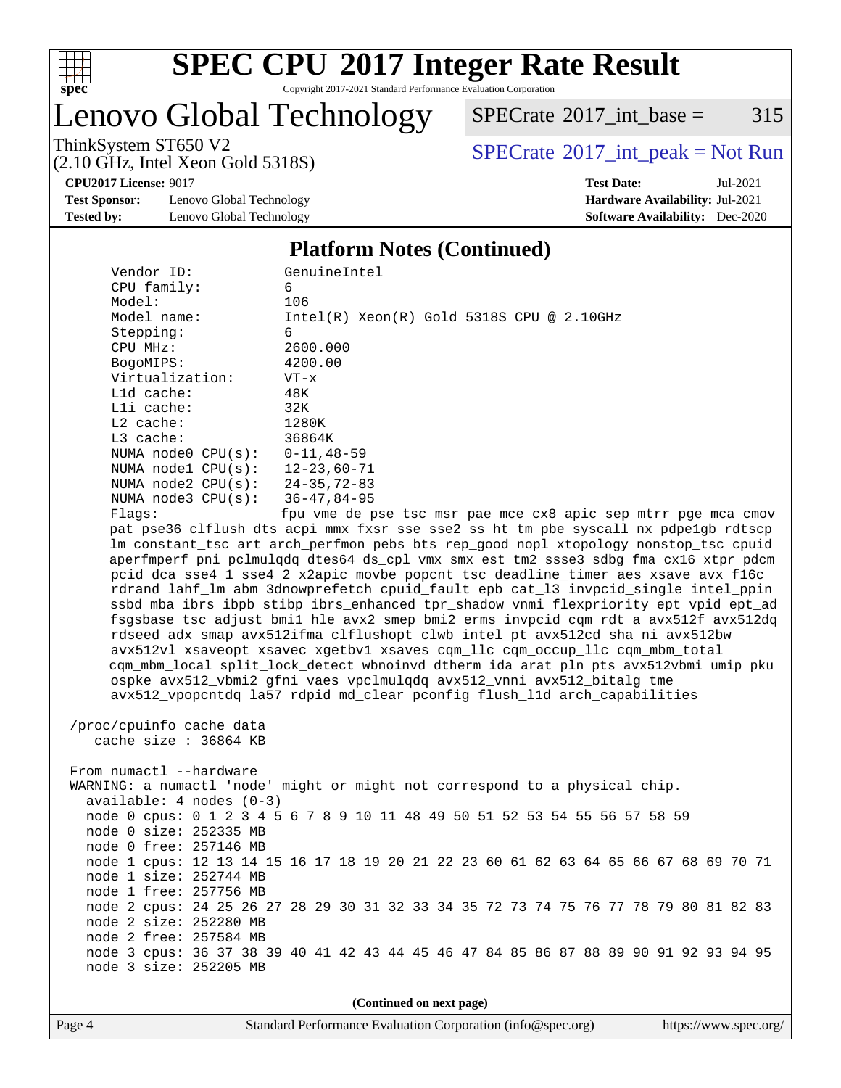

Copyright 2017-2021 Standard Performance Evaluation Corporation

Lenovo Global Technology

 $SPECTate@2017_int\_base = 315$ 

(2.10 GHz, Intel Xeon Gold 5318S)

ThinkSystem ST650 V2<br>  $(2.10 \text{ GHz. Intel Yoon Gold } 53188)$  [SPECrate](http://www.spec.org/auto/cpu2017/Docs/result-fields.html#SPECrate2017intpeak)®[2017\\_int\\_peak = N](http://www.spec.org/auto/cpu2017/Docs/result-fields.html#SPECrate2017intpeak)ot Run

**[CPU2017 License:](http://www.spec.org/auto/cpu2017/Docs/result-fields.html#CPU2017License)** 9017 **[Test Date:](http://www.spec.org/auto/cpu2017/Docs/result-fields.html#TestDate)** Jul-2021

**[Test Sponsor:](http://www.spec.org/auto/cpu2017/Docs/result-fields.html#TestSponsor)** Lenovo Global Technology **[Hardware Availability:](http://www.spec.org/auto/cpu2017/Docs/result-fields.html#HardwareAvailability)** Jul-2021 **[Tested by:](http://www.spec.org/auto/cpu2017/Docs/result-fields.html#Testedby)** Lenovo Global Technology **[Software Availability:](http://www.spec.org/auto/cpu2017/Docs/result-fields.html#SoftwareAvailability)** Dec-2020

#### **[Platform Notes \(Continued\)](http://www.spec.org/auto/cpu2017/Docs/result-fields.html#PlatformNotes)**

| Vendor ID:                     | GenuineIntel                                                                         |
|--------------------------------|--------------------------------------------------------------------------------------|
| CPU family:                    | 6                                                                                    |
| Model:                         | 106                                                                                  |
| Model name:                    | $Intel(R) Xeon(R) Gold 5318S CPU @ 2.10GHz$                                          |
| Stepping:                      | 6                                                                                    |
| CPU MHz:                       | 2600.000                                                                             |
| BogoMIPS:                      | 4200.00                                                                              |
| Virtualization:                | $VT - x$                                                                             |
| L1d cache:                     | 48K                                                                                  |
| Lli cache:                     | 32K                                                                                  |
| $L2$ cache:                    | 1280K                                                                                |
| $L3$ cache:                    | 36864K                                                                               |
| NUMA $node0$ $CPU(s):$         | $0 - 11, 48 - 59$                                                                    |
| NUMA node1 CPU(s): 12-23,60-71 |                                                                                      |
| NUMA node2 CPU(s): 24-35,72-83 |                                                                                      |
|                                |                                                                                      |
| NUMA node3 CPU(s): 36-47,84-95 |                                                                                      |
| Flaqs:                         | fpu vme de pse tsc msr pae mce cx8 apic sep mtrr pge mca cmov                        |
|                                | pat pse36 clflush dts acpi mmx fxsr sse sse2 ss ht tm pbe syscall nx pdpelgb rdtscp  |
|                                | lm constant_tsc art arch_perfmon pebs bts rep_good nopl xtopology nonstop_tsc cpuid  |
|                                | aperfmperf pni pclmulqdq dtes64 ds_cpl vmx smx est tm2 ssse3 sdbg fma cx16 xtpr pdcm |
|                                | pcid dca sse4_1 sse4_2 x2apic movbe popcnt tsc_deadline_timer aes xsave avx f16c     |
|                                | rdrand lahf_lm abm 3dnowprefetch cpuid_fault epb cat_13 invpcid_single intel_ppin    |
|                                | ssbd mba ibrs ibpb stibp ibrs_enhanced tpr_shadow vnmi flexpriority ept vpid ept_ad  |
|                                | fsgsbase tsc_adjust bmil hle avx2 smep bmi2 erms invpcid cqm rdt_a avx512f avx512dq  |
|                                | rdseed adx smap avx512ifma clflushopt clwb intel_pt avx512cd sha_ni avx512bw         |
|                                | avx512vl xsaveopt xsavec xgetbvl xsaves cqm_llc cqm_occup_llc cqm_mbm_total          |
|                                | cqm_mbm_local split_lock_detect wbnoinvd dtherm ida arat pln pts avx512vbmi umip pku |
|                                | ospke avx512_vbmi2 gfni vaes vpclmulqdq avx512_vnni avx512_bitalg tme                |
|                                | avx512_vpopcntdq la57 rdpid md_clear pconfig flush_11d arch_capabilities             |
|                                |                                                                                      |
| /proc/cpuinfo cache data       |                                                                                      |
| cache size : 36864 KB          |                                                                                      |
|                                |                                                                                      |
|                                |                                                                                      |
| From numactl --hardware        |                                                                                      |
|                                | WARNING: a numactl 'node' might or might not correspond to a physical chip.          |
| $available: 4 nodes (0-3)$     |                                                                                      |
|                                | node 0 cpus: 0 1 2 3 4 5 6 7 8 9 10 11 48 49 50 51 52 53 54 55 56 57 58 59           |
| node 0 size: 252335 MB         |                                                                                      |
| node 0 free: 257146 MB         |                                                                                      |
|                                | node 1 cpus: 12 13 14 15 16 17 18 19 20 21 22 23 60 61 62 63 64 65 66 67 68 69 70 71 |
| node 1 size: 252744 MB         |                                                                                      |
| node 1 free: 257756 MB         |                                                                                      |
|                                | node 2 cpus: 24 25 26 27 28 29 30 31 32 33 34 35 72 73 74 75 76 77 78 79 80 81 82 83 |
| node 2 size: 252280 MB         |                                                                                      |
| node 2 free: 257584 MB         |                                                                                      |
|                                | node 3 cpus: 36 37 38 39 40 41 42 43 44 45 46 47 84 85 86 87 88 89 90 91 92 93 94 95 |
| node 3 size: 252205 MB         |                                                                                      |
|                                |                                                                                      |
|                                |                                                                                      |
|                                | (Continued on next page)                                                             |

Page 4 Standard Performance Evaluation Corporation [\(info@spec.org\)](mailto:info@spec.org) <https://www.spec.org/>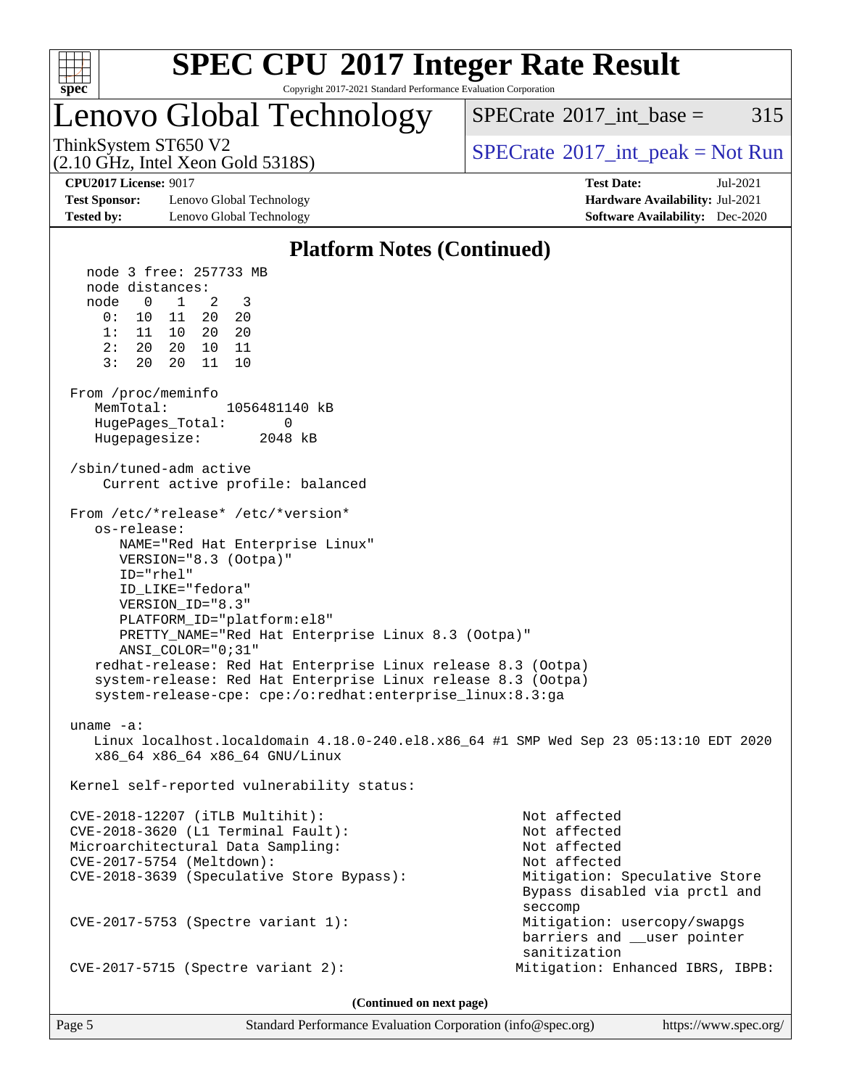

Copyright 2017-2021 Standard Performance Evaluation Corporation

### Lenovo Global Technology

 $SPECTate@2017\_int\_base = 315$ 

(2.10 GHz, Intel Xeon Gold 5318S)

ThinkSystem ST650 V2<br>  $\begin{array}{c} \text{SPECTR} \\ \text{SPECTR} \\ \text{SPECTR} \end{array}$  [SPECrate](http://www.spec.org/auto/cpu2017/Docs/result-fields.html#SPECrate2017intpeak)®[2017\\_int\\_peak = N](http://www.spec.org/auto/cpu2017/Docs/result-fields.html#SPECrate2017intpeak)ot Run

**[Test Sponsor:](http://www.spec.org/auto/cpu2017/Docs/result-fields.html#TestSponsor)** Lenovo Global Technology **[Hardware Availability:](http://www.spec.org/auto/cpu2017/Docs/result-fields.html#HardwareAvailability)** Jul-2021 **[Tested by:](http://www.spec.org/auto/cpu2017/Docs/result-fields.html#Testedby)** Lenovo Global Technology **[Software Availability:](http://www.spec.org/auto/cpu2017/Docs/result-fields.html#SoftwareAvailability)** Dec-2020

**[CPU2017 License:](http://www.spec.org/auto/cpu2017/Docs/result-fields.html#CPU2017License)** 9017 **[Test Date:](http://www.spec.org/auto/cpu2017/Docs/result-fields.html#TestDate)** Jul-2021

#### **[Platform Notes \(Continued\)](http://www.spec.org/auto/cpu2017/Docs/result-fields.html#PlatformNotes)** node 3 free: 257733 MB node distances: node 0 1 2 3 0: 10 11 20 20 1: 11 10 20 20 2: 20 20 10 11 3: 20 20 11 10 From /proc/meminfo MemTotal: 1056481140 kB HugePages\_Total: 0 Hugepagesize: 2048 kB /sbin/tuned-adm active Current active profile: balanced From /etc/\*release\* /etc/\*version\* os-release: NAME="Red Hat Enterprise Linux" VERSION="8.3 (Ootpa)" ID="rhel" ID\_LIKE="fedora" VERSION\_ID="8.3" PLATFORM\_ID="platform:el8" PRETTY\_NAME="Red Hat Enterprise Linux 8.3 (Ootpa)" ANSI\_COLOR="0;31" redhat-release: Red Hat Enterprise Linux release 8.3 (Ootpa) system-release: Red Hat Enterprise Linux release 8.3 (Ootpa) system-release-cpe: cpe:/o:redhat:enterprise\_linux:8.3:ga uname -a: Linux localhost.localdomain 4.18.0-240.el8.x86\_64 #1 SMP Wed Sep 23 05:13:10 EDT 2020 x86\_64 x86\_64 x86\_64 GNU/Linux Kernel self-reported vulnerability status: CVE-2018-12207 (iTLB Multihit): Not affected CVE-2018-3620 (L1 Terminal Fault): Not affected Microarchitectural Data Sampling: Not affected CVE-2017-5754 (Meltdown): Not affected CVE-2018-3639 (Speculative Store Bypass): Mitigation: Speculative Store Bypass disabled via prctl and seccompany and the contract of the contract of the contract of the second seconds of the contract of the contract of the contract of the contract of the contract of the contract of the contract of the contract of the contr CVE-2017-5753 (Spectre variant 1): Mitigation: usercopy/swapgs barriers and \_\_user pointer sanitization CVE-2017-5715 (Spectre variant 2): Mitigation: Enhanced IBRS, IBPB:

**(Continued on next page)**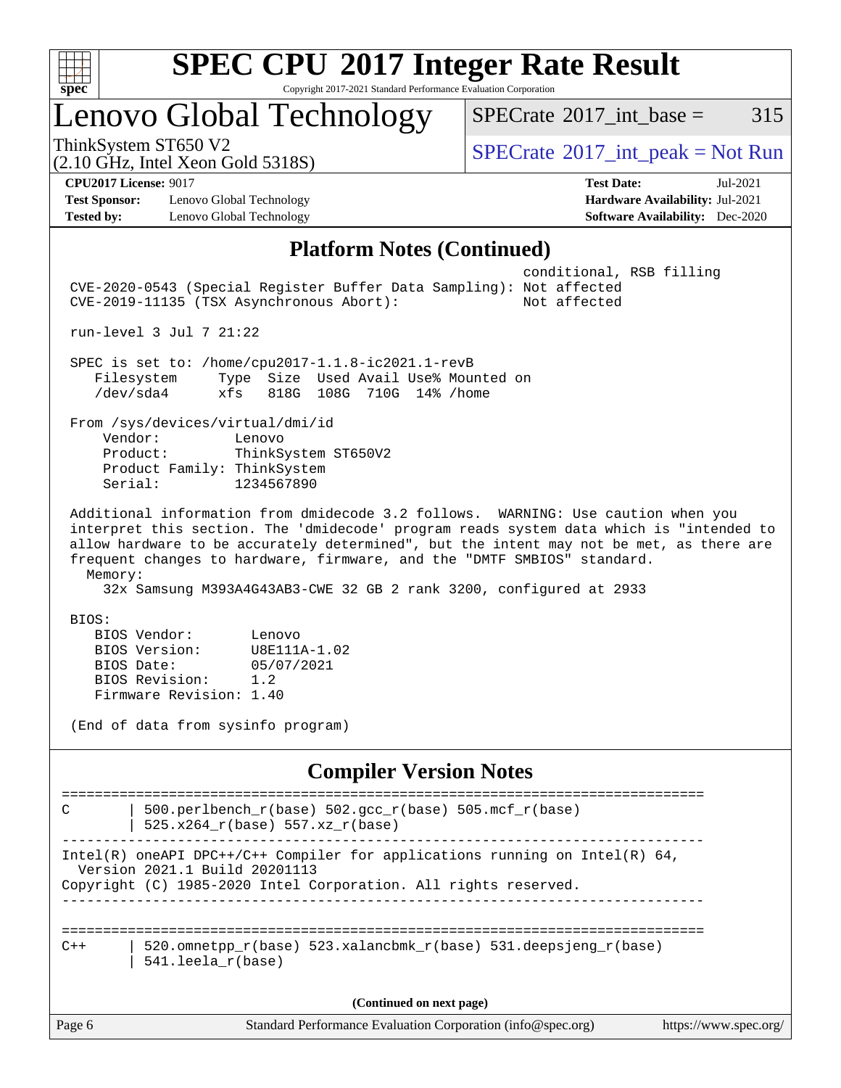

Copyright 2017-2021 Standard Performance Evaluation Corporation

# Lenovo Global Technology

 $SPECTate@2017_int\_base = 315$ 

(2.10 GHz, Intel Xeon Gold 5318S)

 $SPECTate<sup>®</sup>2017_int_p = ak = Not Run$ 

**[Test Sponsor:](http://www.spec.org/auto/cpu2017/Docs/result-fields.html#TestSponsor)** Lenovo Global Technology **[Hardware Availability:](http://www.spec.org/auto/cpu2017/Docs/result-fields.html#HardwareAvailability)** Jul-2021 **[Tested by:](http://www.spec.org/auto/cpu2017/Docs/result-fields.html#Testedby)** Lenovo Global Technology **[Software Availability:](http://www.spec.org/auto/cpu2017/Docs/result-fields.html#SoftwareAvailability)** Dec-2020

**[CPU2017 License:](http://www.spec.org/auto/cpu2017/Docs/result-fields.html#CPU2017License)** 9017 **[Test Date:](http://www.spec.org/auto/cpu2017/Docs/result-fields.html#TestDate)** Jul-2021

#### **[Platform Notes \(Continued\)](http://www.spec.org/auto/cpu2017/Docs/result-fields.html#PlatformNotes)**

| <b>Platform Notes (Continued)</b>                                                                                                                                                                                                                                                                                                                                                                                                   |
|-------------------------------------------------------------------------------------------------------------------------------------------------------------------------------------------------------------------------------------------------------------------------------------------------------------------------------------------------------------------------------------------------------------------------------------|
| conditional, RSB filling<br>CVE-2020-0543 (Special Register Buffer Data Sampling): Not affected<br>CVE-2019-11135 (TSX Asynchronous Abort):<br>Not affected                                                                                                                                                                                                                                                                         |
| run-level 3 Jul 7 21:22                                                                                                                                                                                                                                                                                                                                                                                                             |
| SPEC is set to: /home/cpu2017-1.1.8-ic2021.1-revB<br>Filesystem<br>Type Size Used Avail Use% Mounted on<br>$/\text{dev/sda4}$<br>xfs<br>818G 108G 710G 14% / home                                                                                                                                                                                                                                                                   |
| From /sys/devices/virtual/dmi/id<br>Vendor:<br>Lenovo<br>Product:<br>ThinkSystem ST650V2<br>Product Family: ThinkSystem<br>1234567890<br>Serial:                                                                                                                                                                                                                                                                                    |
| Additional information from dmidecode 3.2 follows. WARNING: Use caution when you<br>interpret this section. The 'dmidecode' program reads system data which is "intended to<br>allow hardware to be accurately determined", but the intent may not be met, as there are<br>frequent changes to hardware, firmware, and the "DMTF SMBIOS" standard.<br>Memory:<br>32x Samsung M393A4G43AB3-CWE 32 GB 2 rank 3200, configured at 2933 |
| BIOS:<br>BIOS Vendor:<br>Lenovo<br>BIOS Version:<br>U8E111A-1.02<br>BIOS Date:<br>05/07/2021<br>BIOS Revision:<br>1.2<br>Firmware Revision: 1.40<br>(End of data from sysinfo program)                                                                                                                                                                                                                                              |
| <b>Compiler Version Notes</b>                                                                                                                                                                                                                                                                                                                                                                                                       |
| 500.perlbench_r(base) 502.gcc_r(base) 505.mcf_r(base)<br>C<br>525.x264_r(base) 557.xz_r(base)                                                                                                                                                                                                                                                                                                                                       |
| Intel(R) oneAPI DPC++/C++ Compiler for applications running on Intel(R) 64,<br>Version 2021.1 Build 20201113<br>Copyright (C) 1985-2020 Intel Corporation. All rights reserved.                                                                                                                                                                                                                                                     |
| 520.omnetpp_r(base) 523.xalancbmk_r(base) 531.deepsjeng_r(base)<br>$C++$<br>541.leela_r(base)                                                                                                                                                                                                                                                                                                                                       |
| (Continued on next page)                                                                                                                                                                                                                                                                                                                                                                                                            |
| Standard Performance Evaluation Corporation (info@spec.org)<br>https://www.spec.org/<br>Page 6                                                                                                                                                                                                                                                                                                                                      |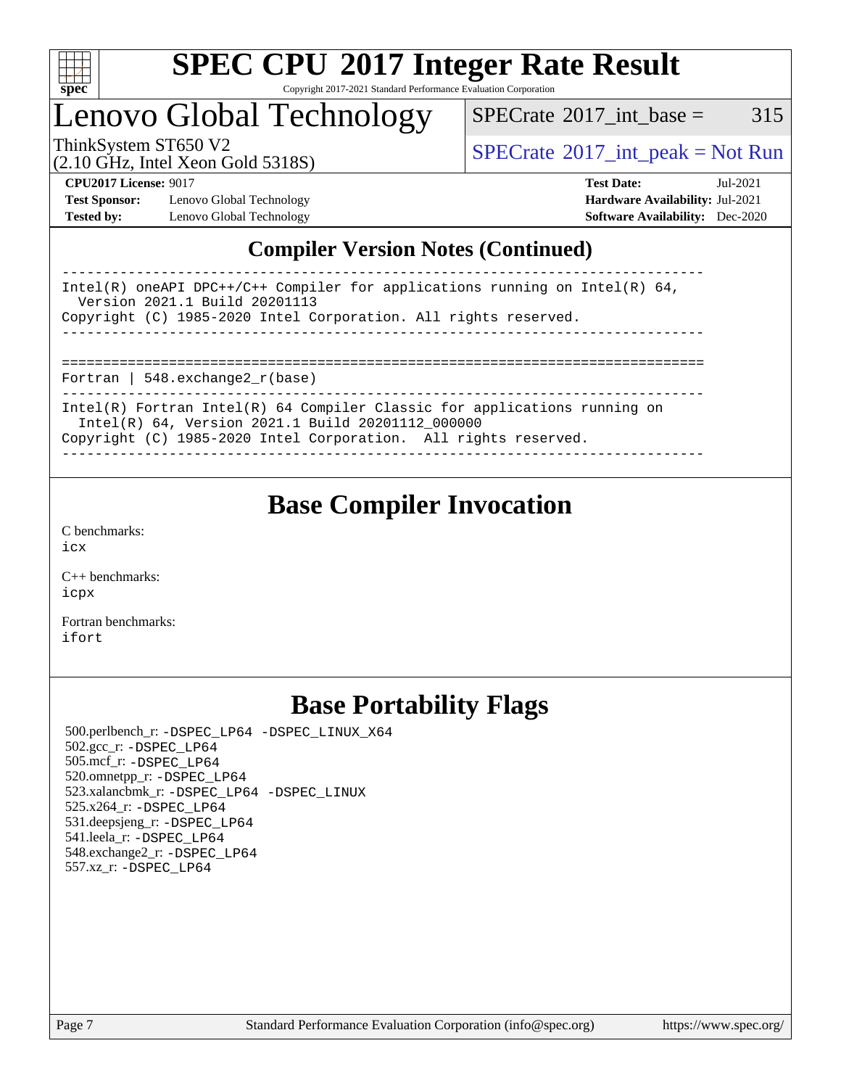

#### **[SPEC CPU](http://www.spec.org/auto/cpu2017/Docs/result-fields.html#SPECCPU2017IntegerRateResult)[2017 Integer Rate Result](http://www.spec.org/auto/cpu2017/Docs/result-fields.html#SPECCPU2017IntegerRateResult)** Copyright 2017-2021 Standard Performance Evaluation Corporation

### Lenovo Global Technology

 $SPECTate$ <sup>®</sup>[2017\\_int\\_base =](http://www.spec.org/auto/cpu2017/Docs/result-fields.html#SPECrate2017intbase) 315

(2.10 GHz, Intel Xeon Gold 5318S)

ThinkSystem ST650 V2<br>  $\begin{array}{c}\n\text{SPECrate} \textcirc 2017\_int\_peak = Not Run \\
\text{SPECrate} \textcirc 2017\_int\_peak = Not Run\n\end{array}$  $\begin{array}{c}\n\text{SPECrate} \textcirc 2017\_int\_peak = Not Run \\
\text{SPECrate} \textcirc 2017\_int\_peak = Not Run\n\end{array}$  $\begin{array}{c}\n\text{SPECrate} \textcirc 2017\_int\_peak = Not Run \\
\text{SPECrate} \textcirc 2017\_int\_peak = Not Run\n\end{array}$ 

**[Test Sponsor:](http://www.spec.org/auto/cpu2017/Docs/result-fields.html#TestSponsor)** Lenovo Global Technology **[Hardware Availability:](http://www.spec.org/auto/cpu2017/Docs/result-fields.html#HardwareAvailability)** Jul-2021 **[Tested by:](http://www.spec.org/auto/cpu2017/Docs/result-fields.html#Testedby)** Lenovo Global Technology **[Software Availability:](http://www.spec.org/auto/cpu2017/Docs/result-fields.html#SoftwareAvailability)** Dec-2020

**[CPU2017 License:](http://www.spec.org/auto/cpu2017/Docs/result-fields.html#CPU2017License)** 9017 **[Test Date:](http://www.spec.org/auto/cpu2017/Docs/result-fields.html#TestDate)** Jul-2021

### **[Compiler Version Notes \(Continued\)](http://www.spec.org/auto/cpu2017/Docs/result-fields.html#CompilerVersionNotes)**

| Intel(R) oneAPI DPC++/C++ Compiler for applications running on Intel(R) $64$ ,<br>Version 2021.1 Build 20201113<br>Copyright (C) 1985-2020 Intel Corporation. All rights reserved.                  |
|-----------------------------------------------------------------------------------------------------------------------------------------------------------------------------------------------------|
|                                                                                                                                                                                                     |
| Fortran   548.exchange2 $r(base)$                                                                                                                                                                   |
| Intel(R) Fortran Intel(R) $64$ Compiler Classic for applications running on<br>Intel(R) 64, Version 2021.1 Build 20201112_000000<br>Copyright (C) 1985-2020 Intel Corporation. All rights reserved. |
|                                                                                                                                                                                                     |

### **[Base Compiler Invocation](http://www.spec.org/auto/cpu2017/Docs/result-fields.html#BaseCompilerInvocation)**

[C benchmarks](http://www.spec.org/auto/cpu2017/Docs/result-fields.html#Cbenchmarks): [icx](http://www.spec.org/cpu2017/results/res2021q3/cpu2017-20210720-28391.flags.html#user_CCbase_intel_icx_fe2d28d19ae2a5db7c42fe0f2a2aed77cb715edd4aeb23434404a8be6683fe239869bb6ca8154ca98265c2e3b9226a719a0efe2953a4a7018c379b7010ccf087)

[C++ benchmarks:](http://www.spec.org/auto/cpu2017/Docs/result-fields.html#CXXbenchmarks) [icpx](http://www.spec.org/cpu2017/results/res2021q3/cpu2017-20210720-28391.flags.html#user_CXXbase_intel_icpx_1e918ed14c436bf4b9b7c8bcdd51d4539fc71b3df010bd1e9f8732d9c34c2b2914e48204a846820f3c0ebb4095dea797a5c30b458ac0b6dffac65d78f781f5ca)

[Fortran benchmarks](http://www.spec.org/auto/cpu2017/Docs/result-fields.html#Fortranbenchmarks): [ifort](http://www.spec.org/cpu2017/results/res2021q3/cpu2017-20210720-28391.flags.html#user_FCbase_intel_ifort_8111460550e3ca792625aed983ce982f94888b8b503583aa7ba2b8303487b4d8a21a13e7191a45c5fd58ff318f48f9492884d4413fa793fd88dd292cad7027ca)

### **[Base Portability Flags](http://www.spec.org/auto/cpu2017/Docs/result-fields.html#BasePortabilityFlags)**

 500.perlbench\_r: [-DSPEC\\_LP64](http://www.spec.org/cpu2017/results/res2021q3/cpu2017-20210720-28391.flags.html#b500.perlbench_r_basePORTABILITY_DSPEC_LP64) [-DSPEC\\_LINUX\\_X64](http://www.spec.org/cpu2017/results/res2021q3/cpu2017-20210720-28391.flags.html#b500.perlbench_r_baseCPORTABILITY_DSPEC_LINUX_X64) 502.gcc\_r: [-DSPEC\\_LP64](http://www.spec.org/cpu2017/results/res2021q3/cpu2017-20210720-28391.flags.html#suite_basePORTABILITY502_gcc_r_DSPEC_LP64) 505.mcf\_r: [-DSPEC\\_LP64](http://www.spec.org/cpu2017/results/res2021q3/cpu2017-20210720-28391.flags.html#suite_basePORTABILITY505_mcf_r_DSPEC_LP64) 520.omnetpp\_r: [-DSPEC\\_LP64](http://www.spec.org/cpu2017/results/res2021q3/cpu2017-20210720-28391.flags.html#suite_basePORTABILITY520_omnetpp_r_DSPEC_LP64) 523.xalancbmk\_r: [-DSPEC\\_LP64](http://www.spec.org/cpu2017/results/res2021q3/cpu2017-20210720-28391.flags.html#suite_basePORTABILITY523_xalancbmk_r_DSPEC_LP64) [-DSPEC\\_LINUX](http://www.spec.org/cpu2017/results/res2021q3/cpu2017-20210720-28391.flags.html#b523.xalancbmk_r_baseCXXPORTABILITY_DSPEC_LINUX) 525.x264\_r: [-DSPEC\\_LP64](http://www.spec.org/cpu2017/results/res2021q3/cpu2017-20210720-28391.flags.html#suite_basePORTABILITY525_x264_r_DSPEC_LP64) 531.deepsjeng\_r: [-DSPEC\\_LP64](http://www.spec.org/cpu2017/results/res2021q3/cpu2017-20210720-28391.flags.html#suite_basePORTABILITY531_deepsjeng_r_DSPEC_LP64) 541.leela\_r: [-DSPEC\\_LP64](http://www.spec.org/cpu2017/results/res2021q3/cpu2017-20210720-28391.flags.html#suite_basePORTABILITY541_leela_r_DSPEC_LP64) 548.exchange2\_r: [-DSPEC\\_LP64](http://www.spec.org/cpu2017/results/res2021q3/cpu2017-20210720-28391.flags.html#suite_basePORTABILITY548_exchange2_r_DSPEC_LP64) 557.xz\_r: [-DSPEC\\_LP64](http://www.spec.org/cpu2017/results/res2021q3/cpu2017-20210720-28391.flags.html#suite_basePORTABILITY557_xz_r_DSPEC_LP64)